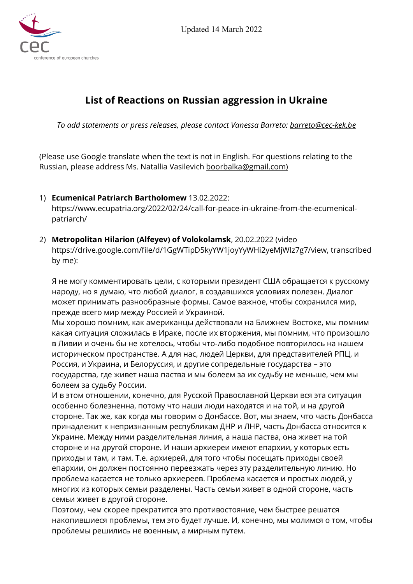

# **List of Reactions on Russian aggression in Ukraine**

*To add statements or press releases, please contact Vanessa Barreto: [barreto@cec-kek.be](mailto:barreto@cec-kek.be)*

(Please use Google translate when the text is not in English. For questions relating to the Russian, please address Ms. Natallia Vasilevich [boorbalka@gmail.com\)](mailto:boorbalka@gmail.com)

- 1) **Ecumenical Patriarch Bartholomew** 13.02.2022: [https://www.ecupatria.org/2022/02/24/call-for-peace-in-ukraine-from-the-ecumenical](https://www.ecupatria.org/2022/02/24/call-for-peace-in-ukraine-from-the-ecumenical-patriarch/)[patriarch/](https://www.ecupatria.org/2022/02/24/call-for-peace-in-ukraine-from-the-ecumenical-patriarch/)
- 2) **Metropolitan Hilarion (Alfeyev) of Volokolamsk**, 20.02.2022 (video https://drive.google.com/file/d/1GgWTipD5kyYW1joyYyWHi2yeMjWIz7g7/view, transcribed by me):

Я не могу комментировать цели, с которыми президент США обращается к русскому народу, но я думаю, что любой диалог, в создавшихся условиях полезен. Диалог может принимать разнообразные формы. Самое важное, чтобы сохранился мир, прежде всего мир между Россией и Украиной.

Мы хорошо помним, как американцы действовали на Ближнем Востоке, мы помним какая ситуация сложилась в Ираке, после их вторжения, мы помним, что произошло в Ливии и очень бы не хотелось, чтобы что-либо подобное повторилось на нашем историческом пространстве. А для нас, людей Церкви, для представителей РПЦ, и Россия, и Украина, и Белоруссия, и другие сопредельные государства – это государства, где живет наша паства и мы болеем за их судьбу не меньше, чем мы болеем за судьбу России.

И в этом отношении, конечно, для Русской Православной Церкви вся эта ситуация особенно болезненна, потому что наши люди находятся и на той, и на другой стороне. Так же, как когда мы говорим о Донбассе. Вот, мы знаем, что часть Донбасса принадлежит к непризнанным республикам ДНР и ЛНР, часть Донбасса относится к Украине. Между ними разделительная линия, а наша паства, она живет на той стороне и на другой стороне. И наши архиереи имеют епархии, у которых есть приходы и там, и там. Т.е. архиерей, для того чтобы посещать приходы своей епархии, он должен постоянно переезжать через эту разделительную линию. Но проблема касается не только архиереев. Проблема касается и простых людей, у многих из которых семьи разделены. Часть семьи живет в одной стороне, часть семьи живет в другой стороне.

Поэтому, чем скорее прекратится это противостояние, чем быстрее решатся накопившиеся проблемы, тем это будет лучше. И, конечно, мы молимся о том, чтобы проблемы решились не военным, а мирным путем.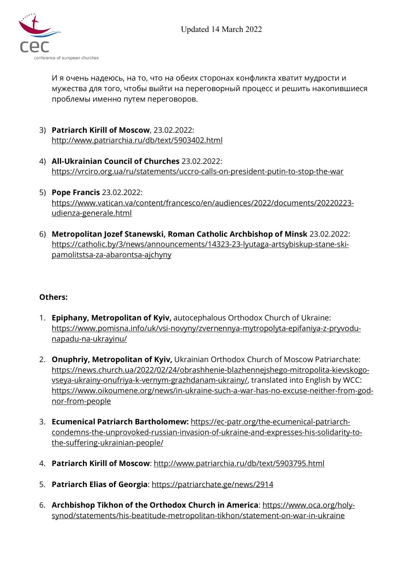

И я очень надеюсь, на то, что на обеих сторонах конфликта хватит мудрости и мужества для того, чтобы выйти на переговорный процесс и решить накопившиеся проблемы именно путем переговоров.

- 3) **Patriarch Kirill of Moscow**, 23.02.2022: <http://www.patriarchia.ru/db/text/5903402.html>
- 4) **All-Ukrainian Council of Churches** 23.02.2022: <https://vrciro.org.ua/ru/statements/uccro-calls-on-president-putin-to-stop-the-war>
- 5) **Pope Francis** 23.02.2022: [https://www.vatican.va/content/francesco/en/audiences/2022/documents/20220223](https://www.vatican.va/content/francesco/en/audiences/2022/documents/20220223-udienza-generale.html) [udienza-generale.html](https://www.vatican.va/content/francesco/en/audiences/2022/documents/20220223-udienza-generale.html)
- 6) **Metropolitan Jozef Stanewski, Roman Catholic Archbishop of Minsk** 23.02.2022: [https://catholic.by/3/news/announcements/14323-23-lyutaga-artsybiskup-stane-ski](https://catholic.by/3/news/announcements/14323-23-lyutaga-artsybiskup-stane-ski-pamolitstsa-za-abarontsa-ajchyny)[pamolitstsa-za-abarontsa-ajchyny](https://catholic.by/3/news/announcements/14323-23-lyutaga-artsybiskup-stane-ski-pamolitstsa-za-abarontsa-ajchyny)

### **Others:**

- 1. **Epiphany, Metropolitan of Kyiv,** autocephalous Orthodox Church of Ukraine: [https://www.pomisna.info/uk/vsi-novyny/zvernennya-mytropolyta-epifaniya-z-pryvodu](https://www.pomisna.info/uk/vsi-novyny/zvernennya-mytropolyta-epifaniya-z-pryvodu-napadu-na-ukrayinu/)[napadu-na-ukrayinu/](https://www.pomisna.info/uk/vsi-novyny/zvernennya-mytropolyta-epifaniya-z-pryvodu-napadu-na-ukrayinu/)
- 2. **Onuphriy, Metropolitan of Kyiv,** Ukrainian Orthodox Church of Moscow Patriarchate: [https://news.church.ua/2022/02/24/obrashhenie-blazhennejshego-mitropolita-kievskogo](https://news.church.ua/2022/02/24/obrashhenie-blazhennejshego-mitropolita-kievskogo-vseya-ukrainy-onufriya-k-vernym-grazhdanam-ukrainy/)[vseya-ukrainy-onufriya-k-vernym-grazhdanam-ukrainy/,](https://news.church.ua/2022/02/24/obrashhenie-blazhennejshego-mitropolita-kievskogo-vseya-ukrainy-onufriya-k-vernym-grazhdanam-ukrainy/) translated into English by WCC: [https://www.oikoumene.org/news/in-ukraine-such-a-war-has-no-excuse-neither-from-god](https://www.oikoumene.org/news/in-ukraine-such-a-war-has-no-excuse-neither-from-god-nor-from-people)[nor-from-people](https://www.oikoumene.org/news/in-ukraine-such-a-war-has-no-excuse-neither-from-god-nor-from-people)
- 3. **Ecumenical Patriarch Bartholomew:** [https://ec-patr.org/the-ecumenical-patriarch](https://ec-patr.org/the-ecumenical-patriarch-condemns-the-unprovoked-russian-invasion-of-ukraine-and-expresses-his-solidarity-to-the-suffering-ukrainian-people/)[condemns-the-unprovoked-russian-invasion-of-ukraine-and-expresses-his-solidarity-to](https://ec-patr.org/the-ecumenical-patriarch-condemns-the-unprovoked-russian-invasion-of-ukraine-and-expresses-his-solidarity-to-the-suffering-ukrainian-people/)[the-suffering-ukrainian-people/](https://ec-patr.org/the-ecumenical-patriarch-condemns-the-unprovoked-russian-invasion-of-ukraine-and-expresses-his-solidarity-to-the-suffering-ukrainian-people/)
- 4. **Patriarch Kirill of Moscow**: <http://www.patriarchia.ru/db/text/5903795.html>
- 5. **Patriarch Elias of Georgia**: <https://patriarchate.ge/news/2914>
- 6. **Archbishop Tikhon of the Orthodox Church in America**: [https://www.oca.org/holy](https://www.oca.org/holy-synod/statements/his-beatitude-metropolitan-tikhon/statement-on-war-in-ukraine)[synod/statements/his-beatitude-metropolitan-tikhon/statement-on-war-in-ukraine](https://www.oca.org/holy-synod/statements/his-beatitude-metropolitan-tikhon/statement-on-war-in-ukraine)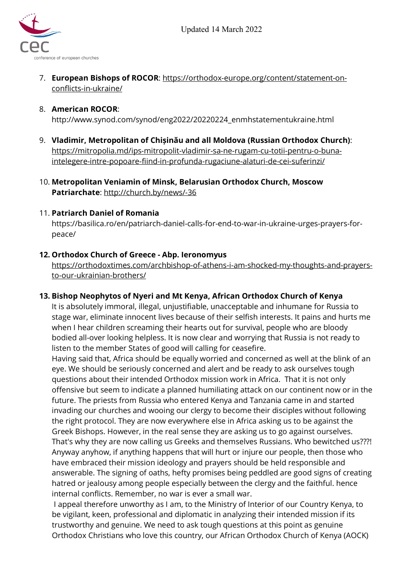Updated 14 March 2022



7. **European Bishops of ROCOR**: [https://orthodox-europe.org/content/statement-on](https://orthodox-europe.org/content/statement-on-conflicts-in-ukraine/)[conflicts-in-ukraine/](https://orthodox-europe.org/content/statement-on-conflicts-in-ukraine/)

### 8. **American ROCOR**:

http://www.synod.com/synod/eng2022/20220224\_enmhstatementukraine.html

- 9. **Vladimir, Metropolitan of Chișinău and all Moldova (Russian Orthodox Church)**: [https://mitropolia.md/ips-mitropolit-vladimir-sa-ne-rugam-cu-totii-pentru-o-buna](https://mitropolia.md/ips-mitropolit-vladimir-sa-ne-rugam-cu-totii-pentru-o-buna-intelegere-intre-popoare-fiind-in-profunda-rugaciune-alaturi-de-cei-suferinzi/)[intelegere-intre-popoare-fiind-in-profunda-rugaciune-alaturi-de-cei-suferinzi/](https://mitropolia.md/ips-mitropolit-vladimir-sa-ne-rugam-cu-totii-pentru-o-buna-intelegere-intre-popoare-fiind-in-profunda-rugaciune-alaturi-de-cei-suferinzi/)
- 10. **Metropolitan Veniamin of Minsk, Belarusian Orthodox Church, Moscow Patriarchate**: <http://church.by/news/-36>

#### 11. **Patriarch Daniel of Romania**

https://basilica.ro/en/patriarch-daniel-calls-for-end-to-war-in-ukraine-urges-prayers-forpeace/

#### **12. Orthodox Church of Greece - Abp. Ieronomyus**

[https://orthodoxtimes.com/archbishop-of-athens-i-am-shocked-my-thoughts-and-prayers](https://orthodoxtimes.com/archbishop-of-athens-i-am-shocked-my-thoughts-and-prayers-to-our-ukrainian-brothers/)[to-our-ukrainian-brothers/](https://orthodoxtimes.com/archbishop-of-athens-i-am-shocked-my-thoughts-and-prayers-to-our-ukrainian-brothers/)

#### **13. Bishop Neophytos of Nyeri and Mt Kenya, African Orthodox Church of Kenya**

It is absolutely immoral, illegal, unjustifiable, unacceptable and inhumane for Russia to stage war, eliminate innocent lives because of their selfish interests. It pains and hurts me when I hear children screaming their hearts out for survival, people who are bloody bodied all-over looking helpless. It is now clear and worrying that Russia is not ready to listen to the member States of good will calling for ceasefire.

Having said that, Africa should be equally worried and concerned as well at the blink of an eye. We should be seriously concerned and alert and be ready to ask ourselves tough questions about their intended Orthodox mission work in Africa. That it is not only offensive but seem to indicate a planned humiliating attack on our continent now or in the future. The priests from Russia who entered Kenya and Tanzania came in and started invading our churches and wooing our clergy to become their disciples without following the right protocol. They are now everywhere else in Africa asking us to be against the Greek Bishops. However, in the real sense they are asking us to go against ourselves. That's why they are now calling us Greeks and themselves Russians. Who bewitched us???! Anyway anyhow, if anything happens that will hurt or injure our people, then those who have embraced their mission ideology and prayers should be held responsible and answerable. The signing of oaths, hefty promises being peddled are good signs of creating hatred or jealousy among people especially between the clergy and the faithful. hence internal conflicts. Remember, no war is ever a small war.

I appeal therefore unworthy as I am, to the Ministry of Interior of our Country Kenya, to be vigilant, keen, professional and diplomatic in analyzing their intended mission if its trustworthy and genuine. We need to ask tough questions at this point as genuine Orthodox Christians who love this country, our African Orthodox Church of Kenya (AOCK)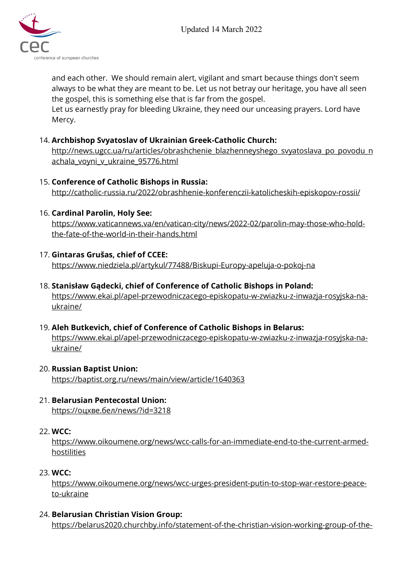



and each other. We should remain alert, vigilant and smart because things don't seem always to be what they are meant to be. Let us not betray our heritage, you have all seen the gospel, this is something else that is far from the gospel.

Let us earnestly pray for bleeding Ukraine, they need our unceasing prayers. Lord have Mercy.

### 14. **Archbishop Svyatoslav of Ukrainian Greek-Catholic Church:**

[http://news.ugcc.ua/ru/articles/obrashchenie\\_blazhenneyshego\\_svyatoslava\\_po\\_povodu\\_n](http://news.ugcc.ua/ru/articles/obrashchenie_blazhenneyshego_svyatoslava_po_povodu_nachala_voyni_v_ukraine_95776.html) [achala\\_voyni\\_v\\_ukraine\\_95776.html](http://news.ugcc.ua/ru/articles/obrashchenie_blazhenneyshego_svyatoslava_po_povodu_nachala_voyni_v_ukraine_95776.html)

### 15. **Conference of Catholic Bishops in Russia:**

<http://catholic-russia.ru/2022/obrashhenie-konferenczii-katolicheskih-episkopov-rossii/>

# 16. **Cardinal Parolin, Holy See:**

[https://www.vaticannews.va/en/vatican-city/news/2022-02/parolin-may-those-who-hold](https://www.vaticannews.va/en/vatican-city/news/2022-02/parolin-may-those-who-hold-the-fate-of-the-world-in-their-hands.html)[the-fate-of-the-world-in-their-hands.html](https://www.vaticannews.va/en/vatican-city/news/2022-02/parolin-may-those-who-hold-the-fate-of-the-world-in-their-hands.html)

# 17. **Gintaras Grušas, chief of CCEE:**

<https://www.niedziela.pl/artykul/77488/Biskupi-Europy-apeluja-o-pokoj-na>

### 18. **Stanisław Gądecki, chief of Conference of Catholic Bishops in Poland:**

[https://www.ekai.pl/apel-przewodniczacego-episkopatu-w-zwiazku-z-inwazja-rosyjska-na](https://www.ekai.pl/apel-przewodniczacego-episkopatu-w-zwiazku-z-inwazja-rosyjska-na-ukraine/)[ukraine/](https://www.ekai.pl/apel-przewodniczacego-episkopatu-w-zwiazku-z-inwazja-rosyjska-na-ukraine/)

### 19. **Aleh Butkevich, chief of Conference of Catholic Bishops in Belarus:**

[https://www.ekai.pl/apel-przewodniczacego-episkopatu-w-zwiazku-z-inwazja-rosyjska-na](https://www.ekai.pl/apel-przewodniczacego-episkopatu-w-zwiazku-z-inwazja-rosyjska-na-ukraine/)[ukraine/](https://www.ekai.pl/apel-przewodniczacego-episkopatu-w-zwiazku-z-inwazja-rosyjska-na-ukraine/)

#### 20. **Russian Baptist Union:** <https://baptist.org.ru/news/main/view/article/1640363>

#### 21. **Belarusian Pentecostal Union:** https://[оцхве.бел/news/?id=3218](https://%D0%BE%D1%86%D1%85%D0%B2%D0%B5.%D0%B1%D0%B5%D0%BB/news/?id=3218)

### 22. **WCC:**

[https://www.oikoumene.org/news/wcc-calls-for-an-immediate-end-to-the-current-armed](https://www.oikoumene.org/news/wcc-calls-for-an-immediate-end-to-the-current-armed-hostilities)[hostilities](https://www.oikoumene.org/news/wcc-calls-for-an-immediate-end-to-the-current-armed-hostilities)

### 23. **WCC:**

[https://www.oikoumene.org/news/wcc-urges-president-putin-to-stop-war-restore-peace](https://www.oikoumene.org/news/wcc-urges-president-putin-to-stop-war-restore-peace-to-ukraine)[to-ukraine](https://www.oikoumene.org/news/wcc-urges-president-putin-to-stop-war-restore-peace-to-ukraine)

### 24. **Belarusian Christian Vision Group:**

[https://belarus2020.churchby.info/statement-of-the-christian-vision-working-group-of-the-](https://belarus2020.churchby.info/statement-of-the-christian-vision-working-group-of-the-coordination-council-regarding-military-aggression-against-fraternal-ukraine-and-alexander-lukashenkos-regime-involvement/)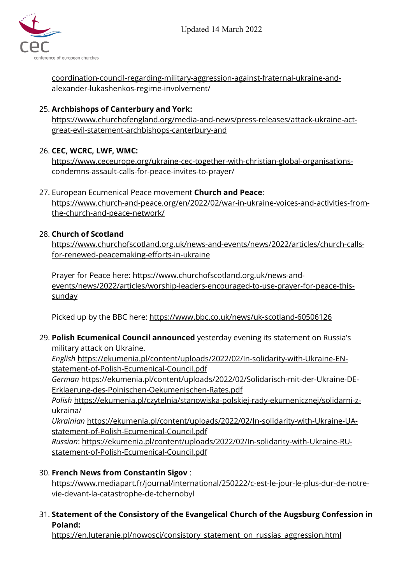

[coordination-council-regarding-military-aggression-against-fraternal-ukraine-and](https://belarus2020.churchby.info/statement-of-the-christian-vision-working-group-of-the-coordination-council-regarding-military-aggression-against-fraternal-ukraine-and-alexander-lukashenkos-regime-involvement/)[alexander-lukashenkos-regime-involvement/](https://belarus2020.churchby.info/statement-of-the-christian-vision-working-group-of-the-coordination-council-regarding-military-aggression-against-fraternal-ukraine-and-alexander-lukashenkos-regime-involvement/)

# 25. **Archbishops of Canterbury and York:**

[https://www.churchofengland.org/media-and-news/press-releases/attack-ukraine-act](https://www.churchofengland.org/media-and-news/press-releases/attack-ukraine-act-great-evil-statement-archbishops-canterbury-and)[great-evil-statement-archbishops-canterbury-and](https://www.churchofengland.org/media-and-news/press-releases/attack-ukraine-act-great-evil-statement-archbishops-canterbury-and)

# 26. **CEC, WCRC, LWF, WMC:**

[https://www.ceceurope.org/ukraine-cec-together-with-christian-global-organisations](https://www.ceceurope.org/ukraine-cec-together-with-christian-global-organisations-condemns-assault-calls-for-peace-invites-to-prayer/)[condemns-assault-calls-for-peace-invites-to-prayer/](https://www.ceceurope.org/ukraine-cec-together-with-christian-global-organisations-condemns-assault-calls-for-peace-invites-to-prayer/)

### 27. European Ecumenical Peace movement **Church and Peace**: [https://www.church-and-peace.org/en/2022/02/war-in-ukraine-voices-and-activities-from](https://www.church-and-peace.org/en/2022/02/war-in-ukraine-voices-and-activities-from-the-church-and-peace-network/)[the-church-and-peace-network/](https://www.church-and-peace.org/en/2022/02/war-in-ukraine-voices-and-activities-from-the-church-and-peace-network/)

# 28. **Church of Scotland**

[https://www.churchofscotland.org.uk/news-and-events/news/2022/articles/church-calls](https://www.churchofscotland.org.uk/news-and-events/news/2022/articles/church-calls-for-renewed-peacemaking-efforts-in-ukraine)[for-renewed-peacemaking-efforts-in-ukraine](https://www.churchofscotland.org.uk/news-and-events/news/2022/articles/church-calls-for-renewed-peacemaking-efforts-in-ukraine)

Prayer for Peace here: [https://www.churchofscotland.org.uk/news-and](https://www.churchofscotland.org.uk/news-and-events/news/2022/articles/worship-leaders-encouraged-to-use-prayer-for-peace-this-sunday)[events/news/2022/articles/worship-leaders-encouraged-to-use-prayer-for-peace-this](https://www.churchofscotland.org.uk/news-and-events/news/2022/articles/worship-leaders-encouraged-to-use-prayer-for-peace-this-sunday)[sunday](https://www.churchofscotland.org.uk/news-and-events/news/2022/articles/worship-leaders-encouraged-to-use-prayer-for-peace-this-sunday)

Picked up by the BBC here: <https://www.bbc.co.uk/news/uk-scotland-60506126>

29. **Polish Ecumenical Council announced** yesterday evening its statement on Russia's military attack on Ukraine.

*English* [https://ekumenia.pl/content/uploads/2022/02/In-solidarity-with-Ukraine-EN](https://ekumenia.pl/content/uploads/2022/02/In-solidarity-with-Ukraine-EN-statement-of-Polish-Ecumenical-Council.pdf)[statement-of-Polish-Ecumenical-Council.pdf](https://ekumenia.pl/content/uploads/2022/02/In-solidarity-with-Ukraine-EN-statement-of-Polish-Ecumenical-Council.pdf)

*German* [https://ekumenia.pl/content/uploads/2022/02/Solidarisch-mit-der-Ukraine-DE-](https://ekumenia.pl/content/uploads/2022/02/Solidarisch-mit-der-Ukraine-DE-Erklaerung-des-Polnischen-Oekumenischen-Rates.pdf)[Erklaerung-des-Polnischen-Oekumenischen-Rates.pdf](https://ekumenia.pl/content/uploads/2022/02/Solidarisch-mit-der-Ukraine-DE-Erklaerung-des-Polnischen-Oekumenischen-Rates.pdf)

*Polish* [https://ekumenia.pl/czytelnia/stanowiska-polskiej-rady-ekumenicznej/solidarni-z](https://ekumenia.pl/czytelnia/stanowiska-polskiej-rady-ekumenicznej/solidarni-z-ukraina/)[ukraina/](https://ekumenia.pl/czytelnia/stanowiska-polskiej-rady-ekumenicznej/solidarni-z-ukraina/)

*Ukrainian* [https://ekumenia.pl/content/uploads/2022/02/In-solidarity-with-Ukraine-UA](https://ekumenia.pl/content/uploads/2022/02/In-solidarity-with-Ukraine-UA-statement-of-Polish-Ecumenical-Council.pdf)[statement-of-Polish-Ecumenical-Council.pdf](https://ekumenia.pl/content/uploads/2022/02/In-solidarity-with-Ukraine-UA-statement-of-Polish-Ecumenical-Council.pdf)

*Russian*: [https://ekumenia.pl/content/uploads/2022/02/In-solidarity-with-Ukraine-RU](https://ekumenia.pl/content/uploads/2022/02/In-solidarity-with-Ukraine-RU-statement-of-Polish-Ecumenical-Council.pdf)[statement-of-Polish-Ecumenical-Council.pdf](https://ekumenia.pl/content/uploads/2022/02/In-solidarity-with-Ukraine-RU-statement-of-Polish-Ecumenical-Council.pdf)

30. **French News from Constantin Sigov** :

[https://www.mediapart.fr/journal/international/250222/c-est-le-jour-le-plus-dur-de-notre](https://www.mediapart.fr/journal/international/250222/c-est-le-jour-le-plus-dur-de-notre-vie-devant-la-catastrophe-de-tchernobyl)[vie-devant-la-catastrophe-de-tchernobyl](https://www.mediapart.fr/journal/international/250222/c-est-le-jour-le-plus-dur-de-notre-vie-devant-la-catastrophe-de-tchernobyl)

31. **Statement of the Consistory of the Evangelical Church of the Augsburg Confession in Poland:**

[https://en.luteranie.pl/nowosci/consistory\\_statement\\_on\\_russias\\_aggression.html](https://en.luteranie.pl/nowosci/consistory_statement_on_russias_aggression.html)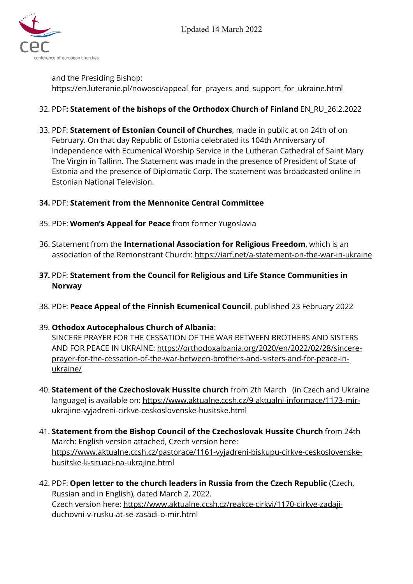Updated 14 March 2022



and the Presiding Bishop: [https://en.luteranie.pl/nowosci/appeal\\_for\\_prayers\\_and\\_support\\_for\\_ukraine.html](https://en.luteranie.pl/nowosci/appeal_for_prayers_and_support_for_ukraine.html)

### 32. PDF**: Statement of the bishops of the Orthodox Church of Finland** EN\_RU\_26.2.2022

33. PDF: **Statement of Estonian Council of Churches**, made in public at on 24th of on February. On that day Republic of Estonia celebrated its 104th Anniversary of Independence with Ecumenical Worship Service in the Lutheran Cathedral of Saint Mary The Virgin in Tallinn. The Statement was made in the presence of President of State of Estonia and the presence of Diplomatic Corp. The statement was broadcasted online in Estonian National Television.

### **34.** PDF: **Statement from the Mennonite Central Committee**

- 35. PDF: **Women's Appeal for Peace** from former Yugoslavia
- 36. Statement from the **International Association for Religious Freedom**, which is an association of the Remonstrant Church: <https://iarf.net/a-statement-on-the-war-in-ukraine>
- **37.** PDF: **Statement from the Council for Religious and Life Stance Communities in Norway**
- 38. PDF: **Peace Appeal of the Finnish Ecumenical Council**, published 23 February 2022

### 39. **Othodox Autocephalous Church of Albania**:

SINCERE PRAYER FOR THE CESSATION OF THE WAR BETWEEN BROTHERS AND SISTERS AND FOR PEACE IN UKRAINE: [https://orthodoxalbania.org/2020/en/2022/02/28/sincere](https://orthodoxalbania.org/2020/en/2022/02/28/sincere-prayer-for-the-cessation-of-the-war-between-brothers-and-sisters-and-for-peace-in-ukraine/)[prayer-for-the-cessation-of-the-war-between-brothers-and-sisters-and-for-peace-in](https://orthodoxalbania.org/2020/en/2022/02/28/sincere-prayer-for-the-cessation-of-the-war-between-brothers-and-sisters-and-for-peace-in-ukraine/)[ukraine/](https://orthodoxalbania.org/2020/en/2022/02/28/sincere-prayer-for-the-cessation-of-the-war-between-brothers-and-sisters-and-for-peace-in-ukraine/) 

- 40. **Statement of the Czechoslovak Hussite church** from 2th March (in Czech and Ukraine language) is available on: [https://www.aktualne.ccsh.cz/9-aktualni-informace/1173-mir](https://www.aktualne.ccsh.cz/9-aktualni-informace/1173-mir-ukrajine-vyjadreni-cirkve-ceskoslovenske-husitske.html)[ukrajine-vyjadreni-cirkve-ceskoslovenske-husitske.html](https://www.aktualne.ccsh.cz/9-aktualni-informace/1173-mir-ukrajine-vyjadreni-cirkve-ceskoslovenske-husitske.html)
- 41. **Statement from the Bishop Council of the Czechoslovak Hussite Church** from 24th March: English version attached, Czech version here: [https://www.aktualne.ccsh.cz/pastorace/1161-vyjadreni-biskupu-cirkve-ceskoslovenske](https://www.aktualne.ccsh.cz/pastorace/1161-vyjadreni-biskupu-cirkve-ceskoslovenske-husitske-k-situaci-na-ukrajine.html)[husitske-k-situaci-na-ukrajine.html](https://www.aktualne.ccsh.cz/pastorace/1161-vyjadreni-biskupu-cirkve-ceskoslovenske-husitske-k-situaci-na-ukrajine.html)
- 42. PDF: **Open letter to the church leaders in Russia from the Czech Republic** (Czech, Russian and in English), dated March 2, 2022. Czech version here: [https://www.aktualne.ccsh.cz/reakce-cirkvi/1170-cirkve-zadaji](https://www.aktualne.ccsh.cz/reakce-cirkvi/1170-cirkve-zadaji-duchovni-v-rusku-at-se-zasadi-o-mir.html)[duchovni-v-rusku-at-se-zasadi-o-mir.html](https://www.aktualne.ccsh.cz/reakce-cirkvi/1170-cirkve-zadaji-duchovni-v-rusku-at-se-zasadi-o-mir.html)